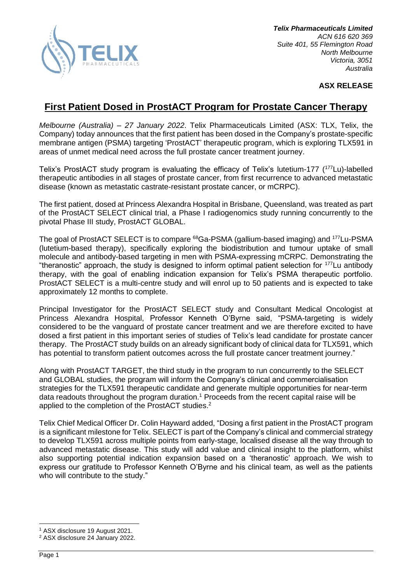

## **ASX RELEASE**

# **First Patient Dosed in ProstACT Program for Prostate Cancer Therapy**

*Melbourne (Australia) – 27 January 2022*. Telix Pharmaceuticals Limited (ASX: TLX, Telix, the Company) today announces that the first patient has been dosed in the Company's prostate-specific membrane antigen (PSMA) targeting 'ProstACT' therapeutic program, which is exploring TLX591 in areas of unmet medical need across the full prostate cancer treatment journey.

Telix's ProstACT study program is evaluating the efficacy of Telix's lutetium-177 (<sup>177</sup>Lu)-labelled therapeutic antibodies in all stages of prostate cancer, from first recurrence to advanced metastatic disease (known as metastatic castrate-resistant prostate cancer, or mCRPC).

The first patient, dosed at Princess Alexandra Hospital in Brisbane, Queensland, was treated as part of the ProstACT SELECT clinical trial, a Phase I radiogenomics study running concurrently to the pivotal Phase III study, ProstACT GLOBAL.

The goal of ProstACT SELECT is to compare <sup>68</sup>Ga-PSMA (gallium-based imaging) and <sup>177</sup>Lu-PSMA (lutetium-based therapy), specifically exploring the biodistribution and tumour uptake of small molecule and antibody-based targeting in men with PSMA-expressing mCRPC. Demonstrating the "theranostic" approach, the study is designed to inform optimal patient selection for <sup>177</sup>Lu antibody therapy, with the goal of enabling indication expansion for Telix's PSMA therapeutic portfolio. ProstACT SELECT is a multi-centre study and will enrol up to 50 patients and is expected to take approximately 12 months to complete.

Principal Investigator for the ProstACT SELECT study and Consultant Medical Oncologist at Princess Alexandra Hospital, Professor Kenneth O'Byrne said, "PSMA-targeting is widely considered to be the vanguard of prostate cancer treatment and we are therefore excited to have dosed a first patient in this important series of studies of Telix's lead candidate for prostate cancer therapy. The ProstACT study builds on an already significant body of clinical data for TLX591, which has potential to transform patient outcomes across the full prostate cancer treatment journey."

Along with ProstACT TARGET, the third study in the program to run concurrently to the SELECT and GLOBAL studies, the program will inform the Company's clinical and commercialisation strategies for the TLX591 therapeutic candidate and generate multiple opportunities for near-term data readouts throughout the program duration.<sup>1</sup> Proceeds from the recent capital raise will be applied to the completion of the ProstACT studies.<sup>2</sup>

Telix Chief Medical Officer Dr. Colin Hayward added, "Dosing a first patient in the ProstACT program is a significant milestone for Telix. SELECT is part of the Company's clinical and commercial strategy to develop TLX591 across multiple points from early-stage, localised disease all the way through to advanced metastatic disease. This study will add value and clinical insight to the platform, whilst also supporting potential indication expansion based on a 'theranostic' approach. We wish to express our gratitude to Professor Kenneth O'Byrne and his clinical team, as well as the patients who will contribute to the study."

<sup>1</sup> ASX disclosure 19 August 2021.

<sup>2</sup> ASX disclosure 24 January 2022.